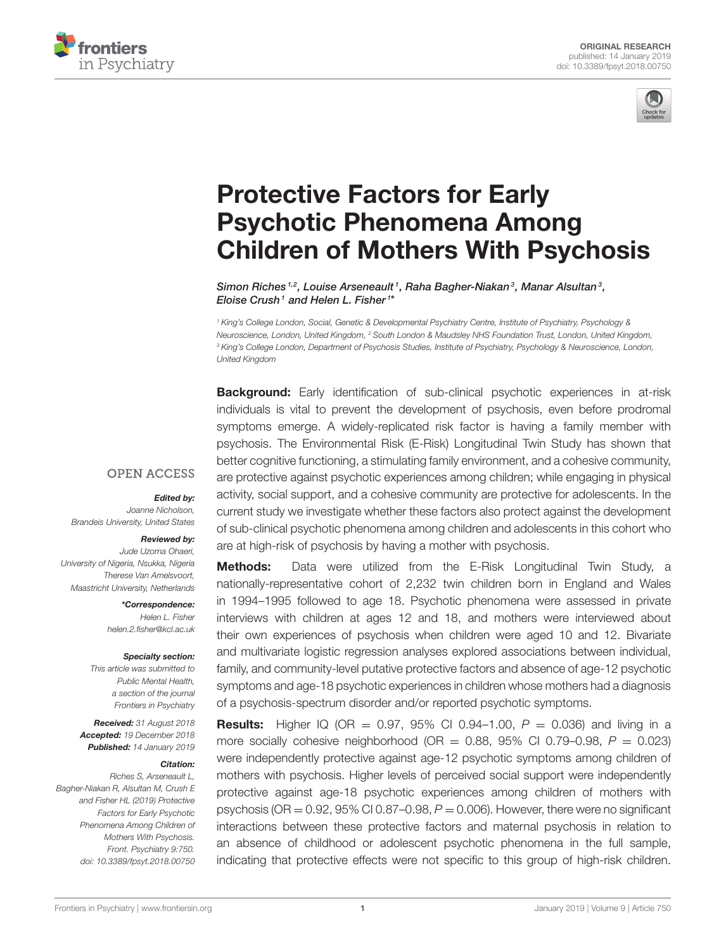



# Protective Factors for Early Psychotic Phenomena Among [Children of Mothers With Psychosis](https://www.frontiersin.org/articles/10.3389/fpsyt.2018.00750/full)

Simon Riches<sup>1,2</sup>, Louise Arseneault<sup>1</sup>, Raha Bagher-Niakan<sup>3</sup>, Manar Alsultan<sup>3</sup>, Eloise Crush1 and [Helen L. Fisher](http://loop.frontiersin.org/people/71831/overview)1\*

*<sup>1</sup> King's College London, Social, Genetic & Developmental Psychiatry Centre, Institute of Psychiatry, Psychology & Neuroscience, London, United Kingdom, <sup>2</sup> South London & Maudsley NHS Foundation Trust, London, United Kingdom, <sup>3</sup> King's College London, Department of Psychosis Studies, Institute of Psychiatry, Psychology & Neuroscience, London, United Kingdom*

**Background:** Early identification of sub-clinical psychotic experiences in at-risk individuals is vital to prevent the development of psychosis, even before prodromal symptoms emerge. A widely-replicated risk factor is having a family member with psychosis. The Environmental Risk (E-Risk) Longitudinal Twin Study has shown that better cognitive functioning, a stimulating family environment, and a cohesive community, are protective against psychotic experiences among children; while engaging in physical activity, social support, and a cohesive community are protective for adolescents. In the current study we investigate whether these factors also protect against the development of sub-clinical psychotic phenomena among children and adolescents in this cohort who are at high-risk of psychosis by having a mother with psychosis.

**Methods:** Data were utilized from the E-Risk Longitudinal Twin Study, a nationally-representative cohort of 2,232 twin children born in England and Wales in 1994–1995 followed to age 18. Psychotic phenomena were assessed in private interviews with children at ages 12 and 18, and mothers were interviewed about their own experiences of psychosis when children were aged 10 and 12. Bivariate and multivariate logistic regression analyses explored associations between individual, family, and community-level putative protective factors and absence of age-12 psychotic symptoms and age-18 psychotic experiences in children whose mothers had a diagnosis of a psychosis-spectrum disorder and/or reported psychotic symptoms.

**Results:** Higher IQ (OR = 0.97, 95% CI 0.94-1.00,  $P = 0.036$ ) and living in a more socially cohesive neighborhood (OR =  $0.88$ , 95% CI 0.79-0.98,  $P = 0.023$ ) were independently protective against age-12 psychotic symptoms among children of mothers with psychosis. Higher levels of perceived social support were independently protective against age-18 psychotic experiences among children of mothers with psychosis (OR = 0.92, 95% CI 0.87–0.98, *P* = 0.006). However, there were no significant interactions between these protective factors and maternal psychosis in relation to an absence of childhood or adolescent psychotic phenomena in the full sample, indicating that protective effects were not specific to this group of high-risk children.

### **OPEN ACCESS**

#### Edited by:

*Joanne Nicholson, Brandeis University, United States*

#### Reviewed by:

*Jude Uzoma Ohaeri, University of Nigeria, Nsukka, Nigeria Therese Van Amelsvoort, Maastricht University, Netherlands*

> \*Correspondence: *Helen L. Fisher [helen.2.fisher@kcl.ac.uk](mailto:helen.2.fisher@kcl.ac.uk)*

#### Specialty section:

*This article was submitted to Public Mental Health, a section of the journal Frontiers in Psychiatry*

Received: *31 August 2018* Accepted: *19 December 2018* Published: *14 January 2019*

#### Citation:

*Riches S, Arseneault L, Bagher-Niakan R, Alsultan M, Crush E and Fisher HL (2019) Protective Factors for Early Psychotic Phenomena Among Children of Mothers With Psychosis. Front. Psychiatry 9:750. doi: [10.3389/fpsyt.2018.00750](https://doi.org/10.3389/fpsyt.2018.00750)*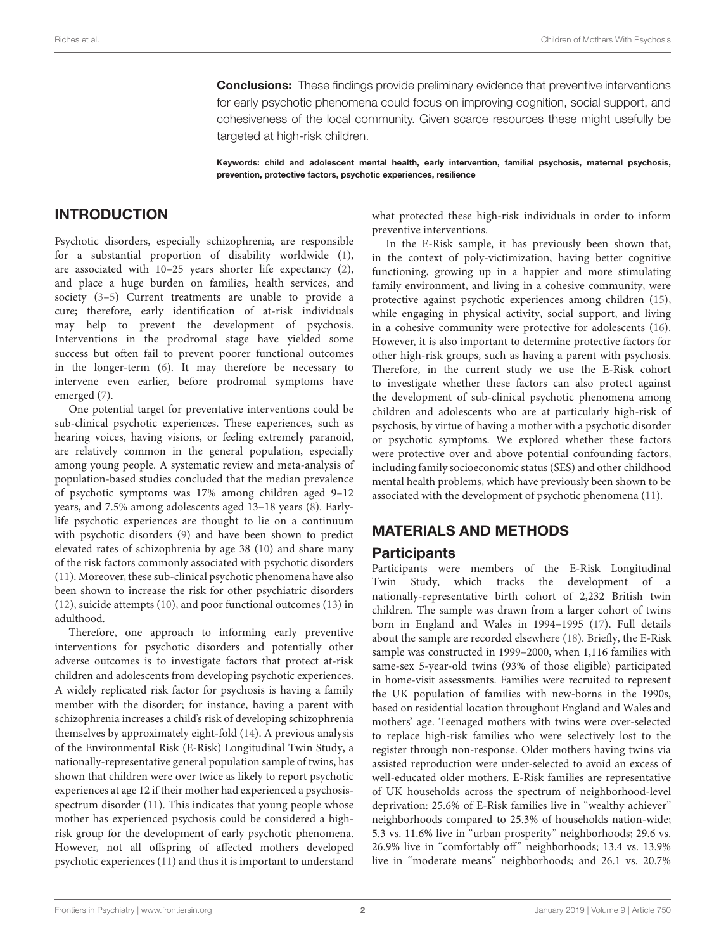**Conclusions:** These findings provide preliminary evidence that preventive interventions for early psychotic phenomena could focus on improving cognition, social support, and cohesiveness of the local community. Given scarce resources these might usefully be targeted at high-risk children.

Keywords: child and adolescent mental health, early intervention, familial psychosis, maternal psychosis, prevention, protective factors, psychotic experiences, resilience

### INTRODUCTION

Psychotic disorders, especially schizophrenia, are responsible for a substantial proportion of disability worldwide [\(1\)](#page-8-0), are associated with 10–25 years shorter life expectancy [\(2\)](#page-8-1), and place a huge burden on families, health services, and society [\(3–](#page-8-2)[5\)](#page-8-3) Current treatments are unable to provide a cure; therefore, early identification of at-risk individuals may help to prevent the development of psychosis. Interventions in the prodromal stage have yielded some success but often fail to prevent poorer functional outcomes in the longer-term [\(6\)](#page-8-4). It may therefore be necessary to intervene even earlier, before prodromal symptoms have emerged [\(7\)](#page-8-5).

One potential target for preventative interventions could be sub-clinical psychotic experiences. These experiences, such as hearing voices, having visions, or feeling extremely paranoid, are relatively common in the general population, especially among young people. A systematic review and meta-analysis of population-based studies concluded that the median prevalence of psychotic symptoms was 17% among children aged 9–12 years, and 7.5% among adolescents aged 13–18 years [\(8\)](#page-8-6). Earlylife psychotic experiences are thought to lie on a continuum with psychotic disorders [\(9\)](#page-8-7) and have been shown to predict elevated rates of schizophrenia by age 38 [\(10\)](#page-8-8) and share many of the risk factors commonly associated with psychotic disorders [\(11\)](#page-8-9). Moreover, these sub-clinical psychotic phenomena have also been shown to increase the risk for other psychiatric disorders [\(12\)](#page-8-10), suicide attempts [\(10\)](#page-8-8), and poor functional outcomes [\(13\)](#page-8-11) in adulthood.

Therefore, one approach to informing early preventive interventions for psychotic disorders and potentially other adverse outcomes is to investigate factors that protect at-risk children and adolescents from developing psychotic experiences. A widely replicated risk factor for psychosis is having a family member with the disorder; for instance, having a parent with schizophrenia increases a child's risk of developing schizophrenia themselves by approximately eight-fold [\(14\)](#page-8-12). A previous analysis of the Environmental Risk (E-Risk) Longitudinal Twin Study, a nationally-representative general population sample of twins, has shown that children were over twice as likely to report psychotic experiences at age 12 if their mother had experienced a psychosisspectrum disorder [\(11\)](#page-8-9). This indicates that young people whose mother has experienced psychosis could be considered a highrisk group for the development of early psychotic phenomena. However, not all offspring of affected mothers developed psychotic experiences [\(11\)](#page-8-9) and thus it is important to understand what protected these high-risk individuals in order to inform preventive interventions.

In the E-Risk sample, it has previously been shown that, in the context of poly-victimization, having better cognitive functioning, growing up in a happier and more stimulating family environment, and living in a cohesive community, were protective against psychotic experiences among children [\(15\)](#page-8-13), while engaging in physical activity, social support, and living in a cohesive community were protective for adolescents [\(16\)](#page-8-14). However, it is also important to determine protective factors for other high-risk groups, such as having a parent with psychosis. Therefore, in the current study we use the E-Risk cohort to investigate whether these factors can also protect against the development of sub-clinical psychotic phenomena among children and adolescents who are at particularly high-risk of psychosis, by virtue of having a mother with a psychotic disorder or psychotic symptoms. We explored whether these factors were protective over and above potential confounding factors, including family socioeconomic status (SES) and other childhood mental health problems, which have previously been shown to be associated with the development of psychotic phenomena [\(11\)](#page-8-9).

### MATERIALS AND METHODS

### Participants

Participants were members of the E-Risk Longitudinal Twin Study, which tracks the development of a nationally-representative birth cohort of 2,232 British twin children. The sample was drawn from a larger cohort of twins born in England and Wales in 1994–1995 [\(17\)](#page-8-15). Full details about the sample are recorded elsewhere [\(18\)](#page-8-16). Briefly, the E-Risk sample was constructed in 1999–2000, when 1,116 families with same-sex 5-year-old twins (93% of those eligible) participated in home-visit assessments. Families were recruited to represent the UK population of families with new-borns in the 1990s, based on residential location throughout England and Wales and mothers' age. Teenaged mothers with twins were over-selected to replace high-risk families who were selectively lost to the register through non-response. Older mothers having twins via assisted reproduction were under-selected to avoid an excess of well-educated older mothers. E-Risk families are representative of UK households across the spectrum of neighborhood-level deprivation: 25.6% of E-Risk families live in "wealthy achiever" neighborhoods compared to 25.3% of households nation-wide; 5.3 vs. 11.6% live in "urban prosperity" neighborhoods; 29.6 vs. 26.9% live in "comfortably off" neighborhoods; 13.4 vs. 13.9% live in "moderate means" neighborhoods; and 26.1 vs. 20.7%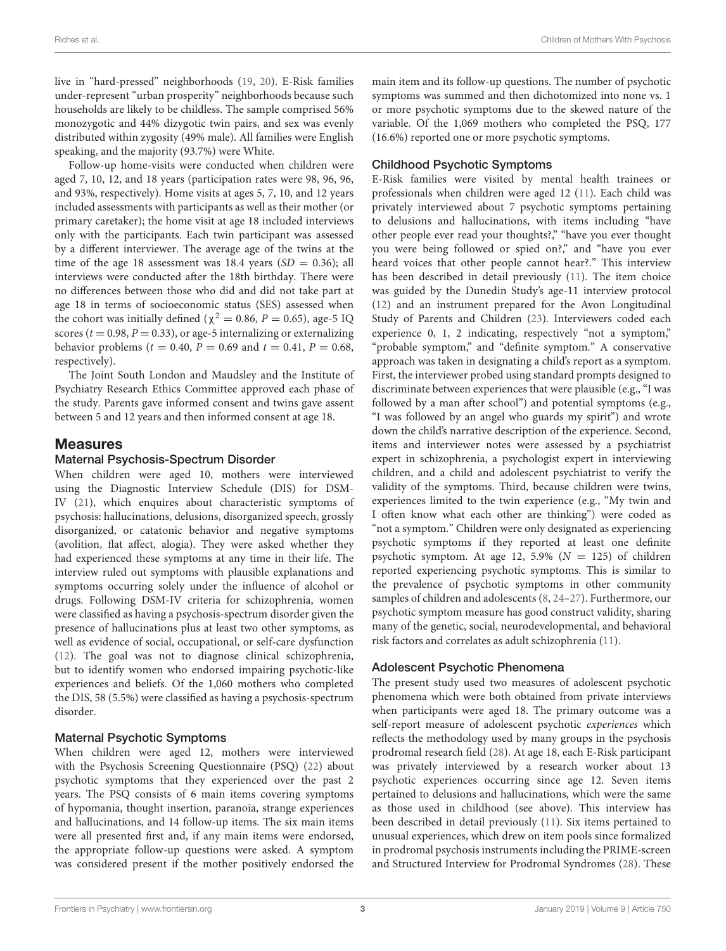live in "hard-pressed" neighborhoods [\(19,](#page-8-17) [20\)](#page-8-18). E-Risk families under-represent "urban prosperity" neighborhoods because such households are likely to be childless. The sample comprised 56% monozygotic and 44% dizygotic twin pairs, and sex was evenly distributed within zygosity (49% male). All families were English speaking, and the majority (93.7%) were White.

Follow-up home-visits were conducted when children were aged 7, 10, 12, and 18 years (participation rates were 98, 96, 96, and 93%, respectively). Home visits at ages 5, 7, 10, and 12 years included assessments with participants as well as their mother (or primary caretaker); the home visit at age 18 included interviews only with the participants. Each twin participant was assessed by a different interviewer. The average age of the twins at the time of the age 18 assessment was 18.4 years  $(SD = 0.36)$ ; all interviews were conducted after the 18th birthday. There were no differences between those who did and did not take part at age 18 in terms of socioeconomic status (SES) assessed when the cohort was initially defined ( $\chi^2 = 0.86$ ,  $P = 0.65$ ), age-5 IQ scores ( $t = 0.98$ ,  $P = 0.33$ ), or age-5 internalizing or externalizing behavior problems ( $t = 0.40$ ,  $P = 0.69$  and  $t = 0.41$ ,  $P = 0.68$ , respectively).

The Joint South London and Maudsley and the Institute of Psychiatry Research Ethics Committee approved each phase of the study. Parents gave informed consent and twins gave assent between 5 and 12 years and then informed consent at age 18.

### Measures

### Maternal Psychosis-Spectrum Disorder

When children were aged 10, mothers were interviewed using the Diagnostic Interview Schedule (DIS) for DSM-IV [\(21\)](#page-8-19), which enquires about characteristic symptoms of psychosis: hallucinations, delusions, disorganized speech, grossly disorganized, or catatonic behavior and negative symptoms (avolition, flat affect, alogia). They were asked whether they had experienced these symptoms at any time in their life. The interview ruled out symptoms with plausible explanations and symptoms occurring solely under the influence of alcohol or drugs. Following DSM-IV criteria for schizophrenia, women were classified as having a psychosis-spectrum disorder given the presence of hallucinations plus at least two other symptoms, as well as evidence of social, occupational, or self-care dysfunction [\(12\)](#page-8-10). The goal was not to diagnose clinical schizophrenia, but to identify women who endorsed impairing psychotic-like experiences and beliefs. Of the 1,060 mothers who completed the DIS, 58 (5.5%) were classified as having a psychosis-spectrum disorder.

### Maternal Psychotic Symptoms

When children were aged 12, mothers were interviewed with the Psychosis Screening Questionnaire (PSQ) [\(22\)](#page-8-20) about psychotic symptoms that they experienced over the past 2 years. The PSQ consists of 6 main items covering symptoms of hypomania, thought insertion, paranoia, strange experiences and hallucinations, and 14 follow-up items. The six main items were all presented first and, if any main items were endorsed, the appropriate follow-up questions were asked. A symptom was considered present if the mother positively endorsed the main item and its follow-up questions. The number of psychotic symptoms was summed and then dichotomized into none vs. 1 or more psychotic symptoms due to the skewed nature of the variable. Of the 1,069 mothers who completed the PSQ, 177 (16.6%) reported one or more psychotic symptoms.

### Childhood Psychotic Symptoms

E-Risk families were visited by mental health trainees or professionals when children were aged 12 [\(11\)](#page-8-9). Each child was privately interviewed about 7 psychotic symptoms pertaining to delusions and hallucinations, with items including "have other people ever read your thoughts?," "have you ever thought you were being followed or spied on?," and "have you ever heard voices that other people cannot hear?." This interview has been described in detail previously [\(11\)](#page-8-9). The item choice was guided by the Dunedin Study's age-11 interview protocol [\(12\)](#page-8-10) and an instrument prepared for the Avon Longitudinal Study of Parents and Children [\(23\)](#page-8-21). Interviewers coded each experience 0, 1, 2 indicating, respectively "not a symptom," "probable symptom," and "definite symptom." A conservative approach was taken in designating a child's report as a symptom. First, the interviewer probed using standard prompts designed to discriminate between experiences that were plausible (e.g., "I was followed by a man after school") and potential symptoms (e.g., "I was followed by an angel who guards my spirit") and wrote down the child's narrative description of the experience. Second, items and interviewer notes were assessed by a psychiatrist expert in schizophrenia, a psychologist expert in interviewing children, and a child and adolescent psychiatrist to verify the validity of the symptoms. Third, because children were twins, experiences limited to the twin experience (e.g., "My twin and I often know what each other are thinking") were coded as "not a symptom." Children were only designated as experiencing psychotic symptoms if they reported at least one definite psychotic symptom. At age 12, 5.9% ( $N = 125$ ) of children reported experiencing psychotic symptoms. This is similar to the prevalence of psychotic symptoms in other community samples of children and adolescents [\(8,](#page-8-6) [24–](#page-8-22)[27\)](#page-8-23). Furthermore, our psychotic symptom measure has good construct validity, sharing many of the genetic, social, neurodevelopmental, and behavioral risk factors and correlates as adult schizophrenia [\(11\)](#page-8-9).

### Adolescent Psychotic Phenomena

The present study used two measures of adolescent psychotic phenomena which were both obtained from private interviews when participants were aged 18. The primary outcome was a self-report measure of adolescent psychotic experiences which reflects the methodology used by many groups in the psychosis prodromal research field [\(28\)](#page-8-24). At age 18, each E-Risk participant was privately interviewed by a research worker about 13 psychotic experiences occurring since age 12. Seven items pertained to delusions and hallucinations, which were the same as those used in childhood (see above). This interview has been described in detail previously [\(11\)](#page-8-9). Six items pertained to unusual experiences, which drew on item pools since formalized in prodromal psychosis instruments including the PRIME-screen and Structured Interview for Prodromal Syndromes [\(28\)](#page-8-24). These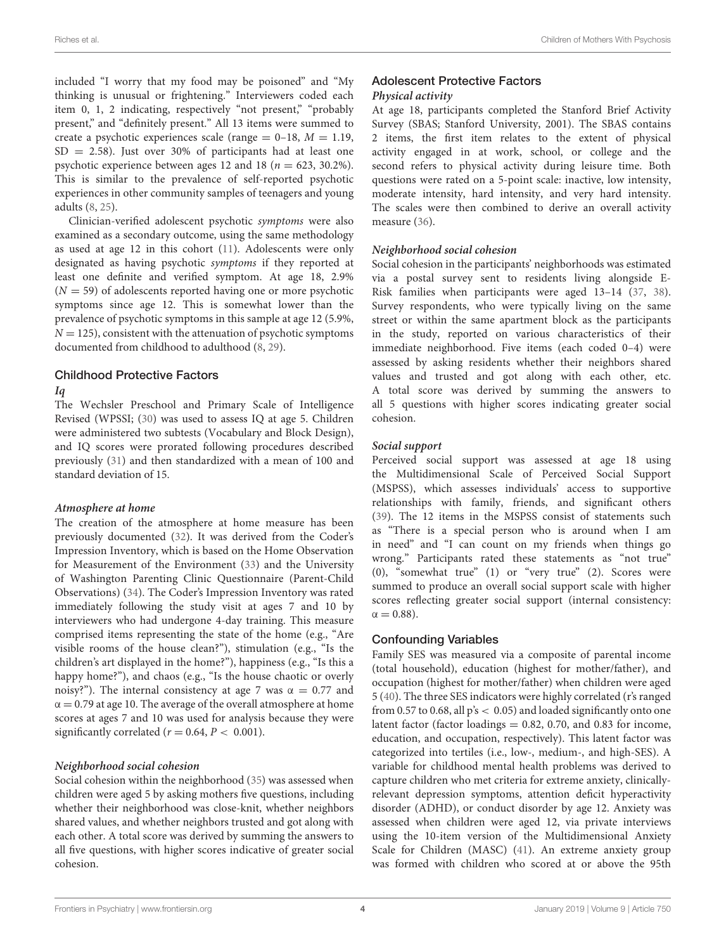included "I worry that my food may be poisoned" and "My thinking is unusual or frightening." Interviewers coded each item 0, 1, 2 indicating, respectively "not present," "probably present," and "definitely present." All 13 items were summed to create a psychotic experiences scale (range  $= 0-18$ ,  $M = 1.19$ ,  $SD = 2.58$ ). Just over 30% of participants had at least one psychotic experience between ages 12 and 18 ( $n = 623, 30.2\%$ ). This is similar to the prevalence of self-reported psychotic experiences in other community samples of teenagers and young adults [\(8,](#page-8-6) [25\)](#page-8-25).

Clinician-verified adolescent psychotic symptoms were also examined as a secondary outcome, using the same methodology as used at age 12 in this cohort [\(11\)](#page-8-9). Adolescents were only designated as having psychotic symptoms if they reported at least one definite and verified symptom. At age 18, 2.9%  $(N = 59)$  of adolescents reported having one or more psychotic symptoms since age 12. This is somewhat lower than the prevalence of psychotic symptoms in this sample at age 12 (5.9%,  $N = 125$ , consistent with the attenuation of psychotic symptoms documented from childhood to adulthood [\(8,](#page-8-6) [29\)](#page-8-26).

### Childhood Protective Factors

#### **Iq**

The Wechsler Preschool and Primary Scale of Intelligence Revised (WPSSI; [\(30\)](#page-8-27) was used to assess IQ at age 5. Children were administered two subtests (Vocabulary and Block Design), and IQ scores were prorated following procedures described previously [\(31\)](#page-8-28) and then standardized with a mean of 100 and standard deviation of 15.

#### **Atmosphere at home**

The creation of the atmosphere at home measure has been previously documented [\(32\)](#page-8-29). It was derived from the Coder's Impression Inventory, which is based on the Home Observation for Measurement of the Environment [\(33\)](#page-8-30) and the University of Washington Parenting Clinic Questionnaire (Parent-Child Observations) [\(34\)](#page-8-31). The Coder's Impression Inventory was rated immediately following the study visit at ages 7 and 10 by interviewers who had undergone 4-day training. This measure comprised items representing the state of the home (e.g., "Are visible rooms of the house clean?"), stimulation (e.g., "Is the children's art displayed in the home?"), happiness (e.g., "Is this a happy home?"), and chaos (e.g., "Is the house chaotic or overly noisy?"). The internal consistency at age 7 was  $\alpha = 0.77$  and  $\alpha$  = 0.79 at age 10. The average of the overall atmosphere at home scores at ages 7 and 10 was used for analysis because they were significantly correlated ( $r = 0.64, P < 0.001$ ).

#### **Neighborhood social cohesion**

Social cohesion within the neighborhood [\(35\)](#page-8-32) was assessed when children were aged 5 by asking mothers five questions, including whether their neighborhood was close-knit, whether neighbors shared values, and whether neighbors trusted and got along with each other. A total score was derived by summing the answers to all five questions, with higher scores indicative of greater social cohesion.

# Adolescent Protective Factors

#### **Physical activity**

At age 18, participants completed the Stanford Brief Activity Survey (SBAS; Stanford University, 2001). The SBAS contains 2 items, the first item relates to the extent of physical activity engaged in at work, school, or college and the second refers to physical activity during leisure time. Both questions were rated on a 5-point scale: inactive, low intensity, moderate intensity, hard intensity, and very hard intensity. The scales were then combined to derive an overall activity measure [\(36\)](#page-8-33).

#### **Neighborhood social cohesion**

Social cohesion in the participants' neighborhoods was estimated via a postal survey sent to residents living alongside E-Risk families when participants were aged 13–14 [\(37,](#page-8-34) [38\)](#page-8-35). Survey respondents, who were typically living on the same street or within the same apartment block as the participants in the study, reported on various characteristics of their immediate neighborhood. Five items (each coded 0–4) were assessed by asking residents whether their neighbors shared values and trusted and got along with each other, etc. A total score was derived by summing the answers to all 5 questions with higher scores indicating greater social cohesion.

#### **Social support**

Perceived social support was assessed at age 18 using the Multidimensional Scale of Perceived Social Support (MSPSS), which assesses individuals' access to supportive relationships with family, friends, and significant others [\(39\)](#page-9-0). The 12 items in the MSPSS consist of statements such as "There is a special person who is around when I am in need" and "I can count on my friends when things go wrong." Participants rated these statements as "not true" (0), "somewhat true" (1) or "very true" (2). Scores were summed to produce an overall social support scale with higher scores reflecting greater social support (internal consistency:  $\alpha = 0.88$ ).

#### Confounding Variables

Family SES was measured via a composite of parental income (total household), education (highest for mother/father), and occupation (highest for mother/father) when children were aged 5 [\(40\)](#page-9-1). The three SES indicators were highly correlated (r's ranged from 0.57 to 0.68, all  $p's < 0.05$ ) and loaded significantly onto one latent factor (factor loadings  $= 0.82, 0.70,$  and 0.83 for income, education, and occupation, respectively). This latent factor was categorized into tertiles (i.e., low-, medium-, and high-SES). A variable for childhood mental health problems was derived to capture children who met criteria for extreme anxiety, clinicallyrelevant depression symptoms, attention deficit hyperactivity disorder (ADHD), or conduct disorder by age 12. Anxiety was assessed when children were aged 12, via private interviews using the 10-item version of the Multidimensional Anxiety Scale for Children (MASC) [\(41\)](#page-9-2). An extreme anxiety group was formed with children who scored at or above the 95th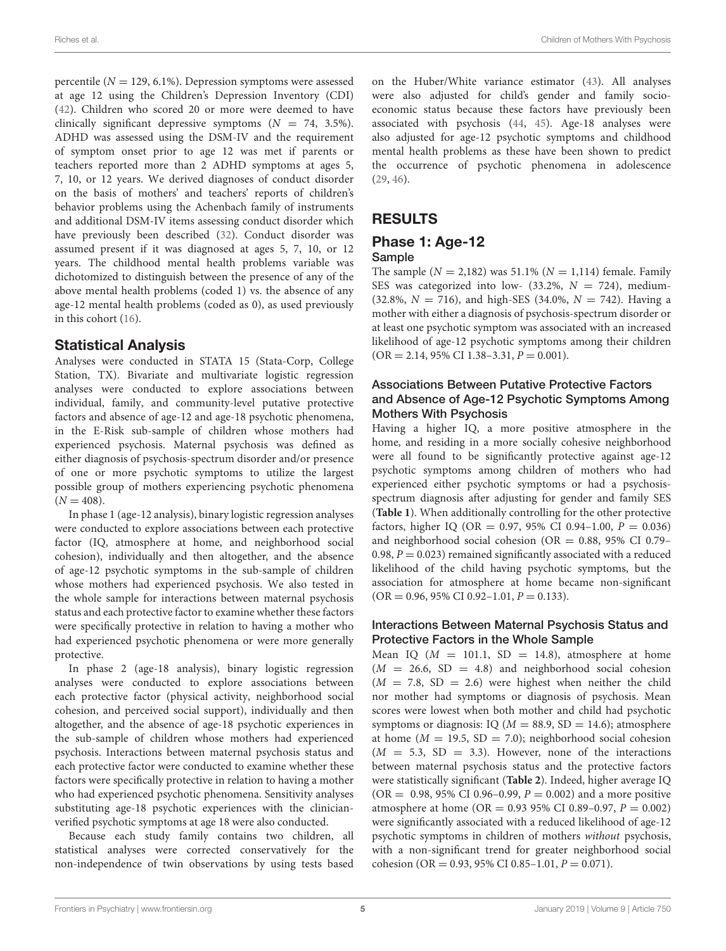percentile ( $N = 129, 6.1\%$ ). Depression symptoms were assessed at age 12 using the Children's Depression Inventory (CDI) [\(42\)](#page-9-3). Children who scored 20 or more were deemed to have clinically significant depressive symptoms  $(N = 74, 3.5\%).$ ADHD was assessed using the DSM-IV and the requirement of symptom onset prior to age 12 was met if parents or teachers reported more than 2 ADHD symptoms at ages 5, 7, 10, or 12 years. We derived diagnoses of conduct disorder on the basis of mothers' and teachers' reports of children's behavior problems using the Achenbach family of instruments and additional DSM-IV items assessing conduct disorder which have previously been described [\(32\)](#page-8-29). Conduct disorder was assumed present if it was diagnosed at ages 5, 7, 10, or 12 years. The childhood mental health problems variable was dichotomized to distinguish between the presence of any of the above mental health problems (coded 1) vs. the absence of any age-12 mental health problems (coded as 0), as used previously in this cohort [\(16\)](#page-8-14).

### Statistical Analysis

Analyses were conducted in STATA 15 (Stata-Corp, College Station, TX). Bivariate and multivariate logistic regression analyses were conducted to explore associations between individual, family, and community-level putative protective factors and absence of age-12 and age-18 psychotic phenomena, in the E-Risk sub-sample of children whose mothers had experienced psychosis. Maternal psychosis was defined as either diagnosis of psychosis-spectrum disorder and/or presence of one or more psychotic symptoms to utilize the largest possible group of mothers experiencing psychotic phenomena  $(N = 408)$ .

In phase 1 (age-12 analysis), binary logistic regression analyses were conducted to explore associations between each protective factor (IQ, atmosphere at home, and neighborhood social cohesion), individually and then altogether, and the absence of age-12 psychotic symptoms in the sub-sample of children whose mothers had experienced psychosis. We also tested in the whole sample for interactions between maternal psychosis status and each protective factor to examine whether these factors were specifically protective in relation to having a mother who had experienced psychotic phenomena or were more generally protective.

In phase 2 (age-18 analysis), binary logistic regression analyses were conducted to explore associations between each protective factor (physical activity, neighborhood social cohesion, and perceived social support), individually and then altogether, and the absence of age-18 psychotic experiences in the sub-sample of children whose mothers had experienced psychosis. Interactions between maternal psychosis status and each protective factor were conducted to examine whether these factors were specifically protective in relation to having a mother who had experienced psychotic phenomena. Sensitivity analyses substituting age-18 psychotic experiences with the clinicianverified psychotic symptoms at age 18 were also conducted.

Because each study family contains two children, all statistical analyses were corrected conservatively for the non-independence of twin observations by using tests based on the Huber/White variance estimator [\(43\)](#page-9-4). All analyses were also adjusted for child's gender and family socioeconomic status because these factors have previously been associated with psychosis [\(44,](#page-9-5) [45\)](#page-9-6). Age-18 analyses were also adjusted for age-12 psychotic symptoms and childhood mental health problems as these have been shown to predict the occurrence of psychotic phenomena in adolescence [\(29,](#page-8-26) [46\)](#page-9-7).

### RESULTS

### Phase 1: Age-12 Sample

The sample ( $N = 2,182$ ) was 51.1% ( $N = 1,114$ ) female. Family SES was categorized into low-  $(33.2\%, N = 724)$ , medium- $(32.8\%, N = 716)$ , and high-SES  $(34.0\%, N = 742)$ . Having a mother with either a diagnosis of psychosis-spectrum disorder or at least one psychotic symptom was associated with an increased likelihood of age-12 psychotic symptoms among their children  $(OR = 2.14, 95\% \text{ CI } 1.38 - 3.31, P = 0.001).$ 

#### Associations Between Putative Protective Factors and Absence of Age-12 Psychotic Symptoms Among Mothers With Psychosis

Having a higher IQ, a more positive atmosphere in the home, and residing in a more socially cohesive neighborhood were all found to be significantly protective against age-12 psychotic symptoms among children of mothers who had experienced either psychotic symptoms or had a psychosisspectrum diagnosis after adjusting for gender and family SES (**[Table 1](#page-5-0)**). When additionally controlling for the other protective factors, higher IQ (OR = 0.97, 95% CI 0.94-1.00,  $P = 0.036$ ) and neighborhood social cohesion (OR =  $0.88$ , 95% CI 0.79-0.98,  $P = 0.023$ ) remained significantly associated with a reduced likelihood of the child having psychotic symptoms, but the association for atmosphere at home became non-significant  $(OR = 0.96, 95\% \text{ CI } 0.92-1.01, P = 0.133).$ 

### Interactions Between Maternal Psychosis Status and Protective Factors in the Whole Sample

Mean IQ ( $M = 101.1$ , SD = 14.8), atmosphere at home  $(M = 26.6, SD = 4.8)$  and neighborhood social cohesion  $(M = 7.8, SD = 2.6)$  were highest when neither the child nor mother had symptoms or diagnosis of psychosis. Mean scores were lowest when both mother and child had psychotic symptoms or diagnosis: IQ ( $M = 88.9$ , SD = 14.6); atmosphere at home ( $M = 19.5$ , SD = 7.0); neighborhood social cohesion  $(M = 5.3, SD = 3.3)$ . However, none of the interactions between maternal psychosis status and the protective factors were statistically significant (**[Table 2](#page-5-1)**). Indeed, higher average IQ  $(OR = 0.98, 95\% \text{ CI } 0.96-0.99, P = 0.002)$  and a more positive atmosphere at home (OR =  $0.93$  95% CI 0.89-0.97,  $P = 0.002$ ) were significantly associated with a reduced likelihood of age-12 psychotic symptoms in children of mothers without psychosis, with a non-significant trend for greater neighborhood social cohesion (OR = 0.93, 95% CI 0.85-1.01,  $P = 0.071$ ).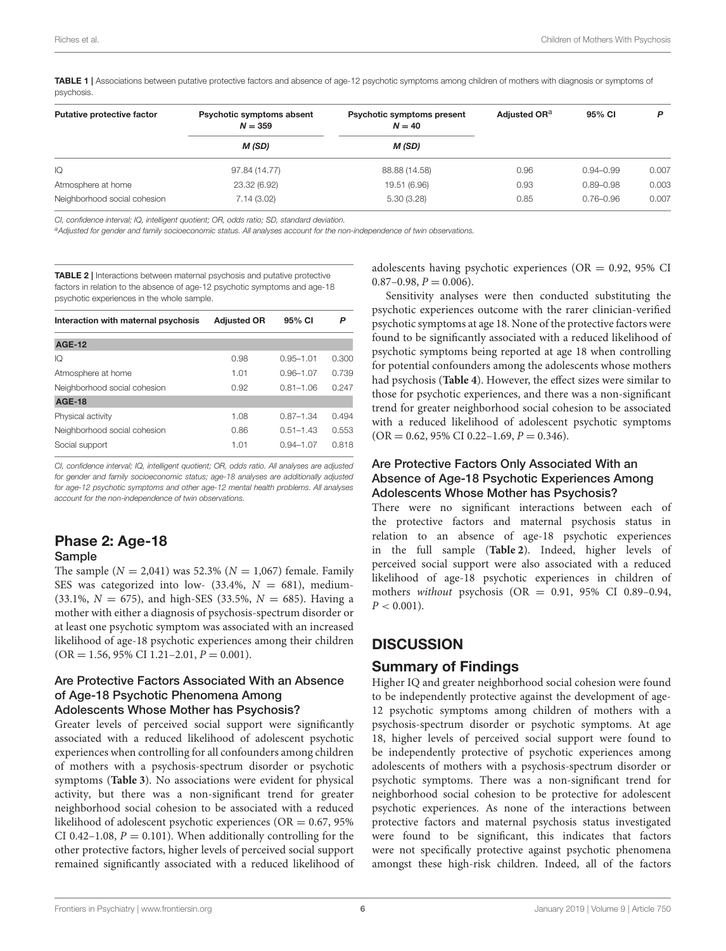<span id="page-5-0"></span>TABLE 1 | Associations between putative protective factors and absence of age-12 psychotic symptoms among children of mothers with diagnosis or symptoms of psychosis.

| <b>Putative protective factor</b> | Psychotic symptoms absent<br>$N = 359$ | Psychotic symptoms present<br>$N = 40$ | Adjusted OR <sup>a</sup> | 95% CI        | P     |
|-----------------------------------|----------------------------------------|----------------------------------------|--------------------------|---------------|-------|
|                                   | M (SD)                                 | M (SD)                                 |                          |               |       |
| IQ                                | 97.84 (14.77)                          | 88.88 (14.58)                          | 0.96                     | $0.94 - 0.99$ | 0.007 |
| Atmosphere at home                | 23.32 (6.92)                           | 19.51 (6.96)                           | 0.93                     | $0.89 - 0.98$ | 0.003 |
| Neighborhood social cohesion      | 7.14(3.02)                             | 5.30(3.28)                             | 0.85                     | $0.76 - 0.96$ | 0.007 |

*CI, confidence interval; IQ, intelligent quotient; OR, odds ratio; SD, standard deviation.*

*<sup>a</sup>Adjusted for gender and family socioeconomic status. All analyses account for the non-independence of twin observations.*

<span id="page-5-1"></span>**TABLE 2 | Interactions between maternal psychosis and putative protective** factors in relation to the absence of age-12 psychotic symptoms and age-18 psychotic experiences in the whole sample.

| Interaction with maternal psychosis | <b>Adjusted OR</b> | 95% CI        | P     |
|-------------------------------------|--------------------|---------------|-------|
| <b>AGE-12</b>                       |                    |               |       |
| IQ                                  | 0.98               | $0.95 - 1.01$ | 0.300 |
| Atmosphere at home                  | 1.01               | $0.96 - 1.07$ | 0.739 |
| Neighborhood social cohesion        | 0.92               | $0.81 - 1.06$ | 0.247 |
| <b>AGE-18</b>                       |                    |               |       |
| Physical activity                   | 1.08               | $0.87 - 1.34$ | 0.494 |
| Neighborhood social cohesion        | 0.86               | $0.51 - 1.43$ | 0.553 |
| Social support                      | 1.01               | $0.94 - 1.07$ | 0.818 |

*CI, confidence interval; IQ, intelligent quotient; OR, odds ratio. All analyses are adjusted for gender and family socioeconomic status; age-18 analyses are additionally adjusted for age-12 psychotic symptoms and other age-12 mental health problems. All analyses account for the non-independence of twin observations.*

### Phase 2: Age-18 Sample

The sample ( $N = 2,041$ ) was 52.3% ( $N = 1,067$ ) female. Family SES was categorized into low-  $(33.4\%, N = 681)$ , medium- $(33.1\%, N = 675)$ , and high-SES  $(33.5\%, N = 685)$ . Having a mother with either a diagnosis of psychosis-spectrum disorder or at least one psychotic symptom was associated with an increased likelihood of age-18 psychotic experiences among their children  $(OR = 1.56, 95\% \text{ CI } 1.21 - 2.01, P = 0.001).$ 

### Are Protective Factors Associated With an Absence of Age-18 Psychotic Phenomena Among

#### Adolescents Whose Mother has Psychosis?

Greater levels of perceived social support were significantly associated with a reduced likelihood of adolescent psychotic experiences when controlling for all confounders among children of mothers with a psychosis-spectrum disorder or psychotic symptoms (**[Table 3](#page-6-0)**). No associations were evident for physical activity, but there was a non-significant trend for greater neighborhood social cohesion to be associated with a reduced likelihood of adolescent psychotic experiences ( $OR = 0.67$ , 95%) CI 0.42–1.08,  $P = 0.101$ ). When additionally controlling for the other protective factors, higher levels of perceived social support remained significantly associated with a reduced likelihood of adolescents having psychotic experiences ( $OR = 0.92$ , 95% CI  $0.87-0.98, P = 0.006$ .

Sensitivity analyses were then conducted substituting the psychotic experiences outcome with the rarer clinician-verified psychotic symptoms at age 18. None of the protective factors were found to be significantly associated with a reduced likelihood of psychotic symptoms being reported at age 18 when controlling for potential confounders among the adolescents whose mothers had psychosis (**[Table 4](#page-6-1)**). However, the effect sizes were similar to those for psychotic experiences, and there was a non-significant trend for greater neighborhood social cohesion to be associated with a reduced likelihood of adolescent psychotic symptoms  $(OR = 0.62, 95\% \text{ CI } 0.22 - 1.69, P = 0.346).$ 

#### Are Protective Factors Only Associated With an Absence of Age-18 Psychotic Experiences Among Adolescents Whose Mother has Psychosis?

There were no significant interactions between each of the protective factors and maternal psychosis status in relation to an absence of age-18 psychotic experiences in the full sample (**[Table 2](#page-5-1)**). Indeed, higher levels of perceived social support were also associated with a reduced likelihood of age-18 psychotic experiences in children of mothers without psychosis (OR =  $0.91$ , 95% CI 0.89-0.94,  $P < 0.001$ ).

### **DISCUSSION**

### Summary of Findings

Higher IQ and greater neighborhood social cohesion were found to be independently protective against the development of age-12 psychotic symptoms among children of mothers with a psychosis-spectrum disorder or psychotic symptoms. At age 18, higher levels of perceived social support were found to be independently protective of psychotic experiences among adolescents of mothers with a psychosis-spectrum disorder or psychotic symptoms. There was a non-significant trend for neighborhood social cohesion to be protective for adolescent psychotic experiences. As none of the interactions between protective factors and maternal psychosis status investigated were found to be significant, this indicates that factors were not specifically protective against psychotic phenomena amongst these high-risk children. Indeed, all of the factors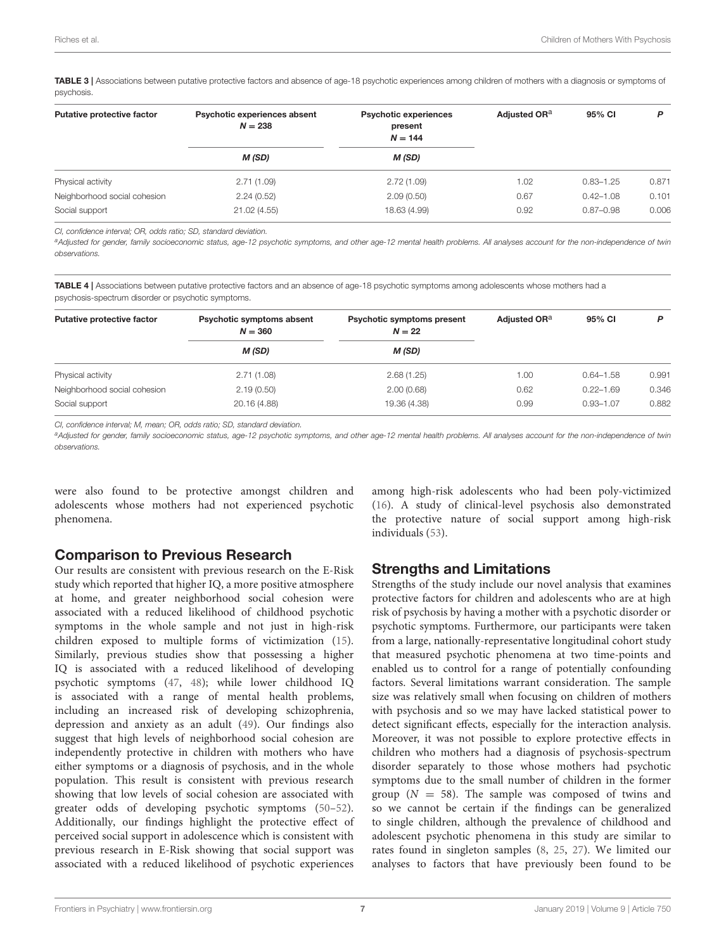<span id="page-6-0"></span>TABLE 3 | Associations between putative protective factors and absence of age-18 psychotic experiences among children of mothers with a diagnosis or symptoms of psychosis.

| <b>Putative protective factor</b> | Psychotic experiences absent<br>$N = 238$<br>M (SD) | <b>Psychotic experiences</b><br>present<br>$N = 144$<br>M (SD) | Adjusted OR <sup>a</sup> | 95% CI        | P     |
|-----------------------------------|-----------------------------------------------------|----------------------------------------------------------------|--------------------------|---------------|-------|
|                                   |                                                     |                                                                |                          |               |       |
| Neighborhood social cohesion      | 2.24(0.52)                                          | 2.09(0.50)                                                     | 0.67                     | $0.42 - 1.08$ | 0.101 |
| Social support                    | 21.02 (4.55)                                        | 18.63 (4.99)                                                   | 0.92                     | $0.87 - 0.98$ | 0.006 |

*CI, confidence interval; OR, odds ratio; SD, standard deviation.*

*<sup>a</sup>Adjusted for gender, family socioeconomic status, age-12 psychotic symptoms, and other age-12 mental health problems. All analyses account for the non-independence of twin observations.*

<span id="page-6-1"></span>TABLE 4 | Associations between putative protective factors and an absence of age-18 psychotic symptoms among adolescents whose mothers had a psychosis-spectrum disorder or psychotic symptoms.

| <b>Putative protective factor</b> | Psychotic symptoms absent<br>$N = 360$<br>M (SD) | <b>Psychotic symptoms present</b><br>$N = 22$<br>M (SD) | Adjusted OR <sup>a</sup> | 95% CI        | P     |
|-----------------------------------|--------------------------------------------------|---------------------------------------------------------|--------------------------|---------------|-------|
|                                   |                                                  |                                                         |                          |               |       |
| Neighborhood social cohesion      | 2.19(0.50)                                       | 2.00(0.68)                                              | 0.62                     | $0.22 - 1.69$ | 0.346 |
| Social support                    | 20.16 (4.88)                                     | 19.36 (4.38)                                            | 0.99                     | $0.93 - 1.07$ | 0.882 |

*CI, confidence interval; M, mean; OR, odds ratio; SD, standard deviation.*

*<sup>a</sup>Adjusted for gender, family socioeconomic status, age-12 psychotic symptoms, and other age-12 mental health problems. All analyses account for the non-independence of twin observations.*

were also found to be protective amongst children and adolescents whose mothers had not experienced psychotic phenomena.

### Comparison to Previous Research

Our results are consistent with previous research on the E-Risk study which reported that higher IQ, a more positive atmosphere at home, and greater neighborhood social cohesion were associated with a reduced likelihood of childhood psychotic symptoms in the whole sample and not just in high-risk children exposed to multiple forms of victimization [\(15\)](#page-8-13). Similarly, previous studies show that possessing a higher IQ is associated with a reduced likelihood of developing psychotic symptoms [\(47,](#page-9-8) [48\)](#page-9-9); while lower childhood IQ is associated with a range of mental health problems, including an increased risk of developing schizophrenia, depression and anxiety as an adult [\(49\)](#page-9-10). Our findings also suggest that high levels of neighborhood social cohesion are independently protective in children with mothers who have either symptoms or a diagnosis of psychosis, and in the whole population. This result is consistent with previous research showing that low levels of social cohesion are associated with greater odds of developing psychotic symptoms [\(50–](#page-9-11)[52\)](#page-9-12). Additionally, our findings highlight the protective effect of perceived social support in adolescence which is consistent with previous research in E-Risk showing that social support was associated with a reduced likelihood of psychotic experiences among high-risk adolescents who had been poly-victimized [\(16\)](#page-8-14). A study of clinical-level psychosis also demonstrated the protective nature of social support among high-risk individuals [\(53\)](#page-9-13).

### Strengths and Limitations

Strengths of the study include our novel analysis that examines protective factors for children and adolescents who are at high risk of psychosis by having a mother with a psychotic disorder or psychotic symptoms. Furthermore, our participants were taken from a large, nationally-representative longitudinal cohort study that measured psychotic phenomena at two time-points and enabled us to control for a range of potentially confounding factors. Several limitations warrant consideration. The sample size was relatively small when focusing on children of mothers with psychosis and so we may have lacked statistical power to detect significant effects, especially for the interaction analysis. Moreover, it was not possible to explore protective effects in children who mothers had a diagnosis of psychosis-spectrum disorder separately to those whose mothers had psychotic symptoms due to the small number of children in the former group ( $N = 58$ ). The sample was composed of twins and so we cannot be certain if the findings can be generalized to single children, although the prevalence of childhood and adolescent psychotic phenomena in this study are similar to rates found in singleton samples [\(8,](#page-8-6) [25,](#page-8-25) [27\)](#page-8-23). We limited our analyses to factors that have previously been found to be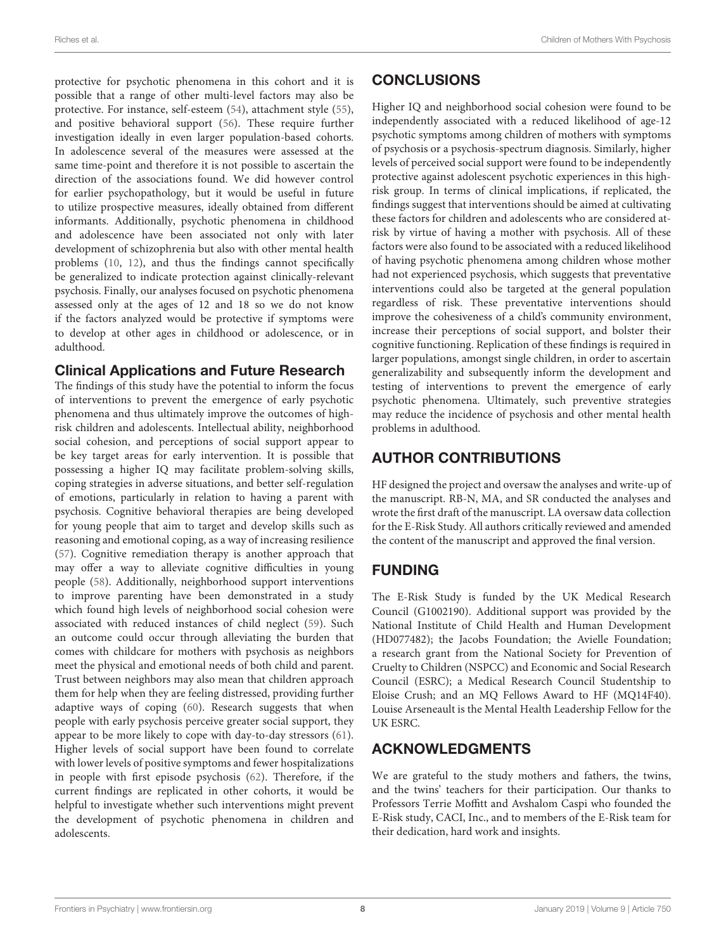protective for psychotic phenomena in this cohort and it is possible that a range of other multi-level factors may also be protective. For instance, self-esteem [\(54\)](#page-9-14), attachment style [\(55\)](#page-9-15), and positive behavioral support [\(56\)](#page-9-16). These require further investigation ideally in even larger population-based cohorts. In adolescence several of the measures were assessed at the same time-point and therefore it is not possible to ascertain the direction of the associations found. We did however control for earlier psychopathology, but it would be useful in future to utilize prospective measures, ideally obtained from different informants. Additionally, psychotic phenomena in childhood and adolescence have been associated not only with later development of schizophrenia but also with other mental health problems [\(10,](#page-8-8) [12\)](#page-8-10), and thus the findings cannot specifically be generalized to indicate protection against clinically-relevant psychosis. Finally, our analyses focused on psychotic phenomena assessed only at the ages of 12 and 18 so we do not know if the factors analyzed would be protective if symptoms were to develop at other ages in childhood or adolescence, or in adulthood.

### Clinical Applications and Future Research

The findings of this study have the potential to inform the focus of interventions to prevent the emergence of early psychotic phenomena and thus ultimately improve the outcomes of highrisk children and adolescents. Intellectual ability, neighborhood social cohesion, and perceptions of social support appear to be key target areas for early intervention. It is possible that possessing a higher IQ may facilitate problem-solving skills, coping strategies in adverse situations, and better self-regulation of emotions, particularly in relation to having a parent with psychosis. Cognitive behavioral therapies are being developed for young people that aim to target and develop skills such as reasoning and emotional coping, as a way of increasing resilience [\(57\)](#page-9-17). Cognitive remediation therapy is another approach that may offer a way to alleviate cognitive difficulties in young people [\(58\)](#page-9-18). Additionally, neighborhood support interventions to improve parenting have been demonstrated in a study which found high levels of neighborhood social cohesion were associated with reduced instances of child neglect [\(59\)](#page-9-19). Such an outcome could occur through alleviating the burden that comes with childcare for mothers with psychosis as neighbors meet the physical and emotional needs of both child and parent. Trust between neighbors may also mean that children approach them for help when they are feeling distressed, providing further adaptive ways of coping [\(60\)](#page-9-20). Research suggests that when people with early psychosis perceive greater social support, they appear to be more likely to cope with day-to-day stressors [\(61\)](#page-9-21). Higher levels of social support have been found to correlate with lower levels of positive symptoms and fewer hospitalizations in people with first episode psychosis [\(62\)](#page-9-22). Therefore, if the current findings are replicated in other cohorts, it would be helpful to investigate whether such interventions might prevent the development of psychotic phenomena in children and adolescents.

# **CONCLUSIONS**

Higher IQ and neighborhood social cohesion were found to be independently associated with a reduced likelihood of age-12 psychotic symptoms among children of mothers with symptoms of psychosis or a psychosis-spectrum diagnosis. Similarly, higher levels of perceived social support were found to be independently protective against adolescent psychotic experiences in this highrisk group. In terms of clinical implications, if replicated, the findings suggest that interventions should be aimed at cultivating these factors for children and adolescents who are considered atrisk by virtue of having a mother with psychosis. All of these factors were also found to be associated with a reduced likelihood of having psychotic phenomena among children whose mother had not experienced psychosis, which suggests that preventative interventions could also be targeted at the general population regardless of risk. These preventative interventions should improve the cohesiveness of a child's community environment, increase their perceptions of social support, and bolster their cognitive functioning. Replication of these findings is required in larger populations, amongst single children, in order to ascertain generalizability and subsequently inform the development and testing of interventions to prevent the emergence of early psychotic phenomena. Ultimately, such preventive strategies may reduce the incidence of psychosis and other mental health problems in adulthood.

# AUTHOR CONTRIBUTIONS

HF designed the project and oversaw the analyses and write-up of the manuscript. RB-N, MA, and SR conducted the analyses and wrote the first draft of the manuscript. LA oversaw data collection for the E-Risk Study. All authors critically reviewed and amended the content of the manuscript and approved the final version.

## FUNDING

The E-Risk Study is funded by the UK Medical Research Council (G1002190). Additional support was provided by the National Institute of Child Health and Human Development (HD077482); the Jacobs Foundation; the Avielle Foundation; a research grant from the National Society for Prevention of Cruelty to Children (NSPCC) and Economic and Social Research Council (ESRC); a Medical Research Council Studentship to Eloise Crush; and an MQ Fellows Award to HF (MQ14F40). Louise Arseneault is the Mental Health Leadership Fellow for the UK ESRC.

# ACKNOWLEDGMENTS

We are grateful to the study mothers and fathers, the twins, and the twins' teachers for their participation. Our thanks to Professors Terrie Moffitt and Avshalom Caspi who founded the E-Risk study, CACI, Inc., and to members of the E-Risk team for their dedication, hard work and insights.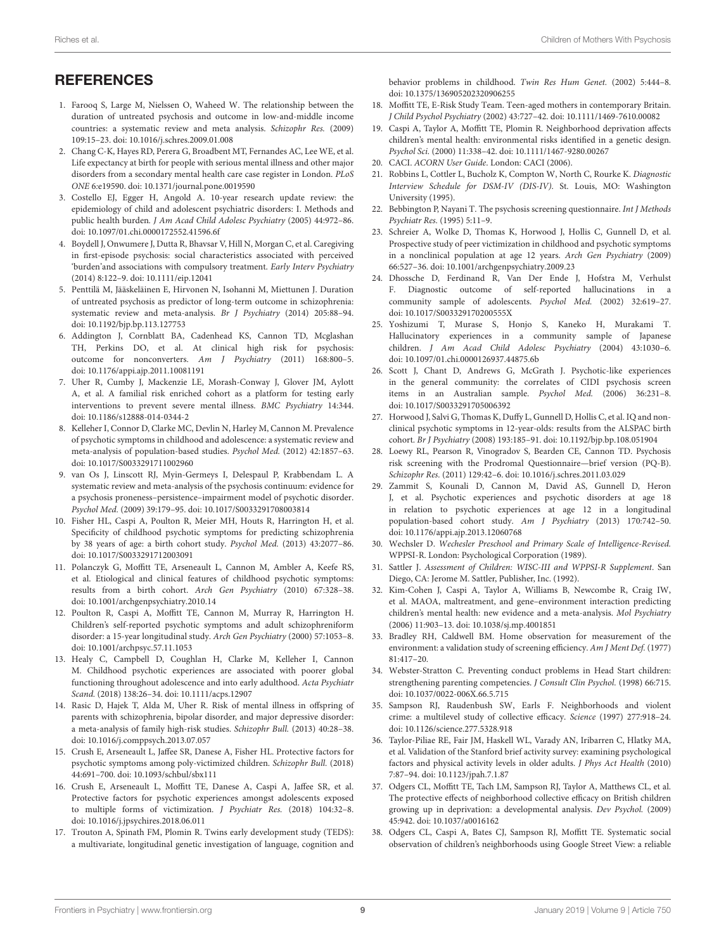# **REFERENCES**

- <span id="page-8-0"></span>1. Farooq S, Large M, Nielssen O, Waheed W. The relationship between the duration of untreated psychosis and outcome in low-and-middle income countries: a systematic review and meta analysis. Schizophr Res. (2009) 109:15–23. doi: [10.1016/j.schres.2009.01.008](https://doi.org/10.1016/j.schres.2009.01.008)
- <span id="page-8-1"></span>2. Chang C-K, Hayes RD, Perera G, Broadbent MT, Fernandes AC, Lee WE, et al. Life expectancy at birth for people with serious mental illness and other major disorders from a secondary mental health care case register in London. PLoS ONE 6:e19590. doi: [10.1371/journal.pone.0019590](https://doi.org/10.1371/journal.pone.0019590)
- <span id="page-8-2"></span>3. Costello EJ, Egger H, Angold A. 10-year research update review: the epidemiology of child and adolescent psychiatric disorders: I. Methods and public health burden. J Am Acad Child Adolesc Psychiatry (2005) 44:972–86. doi: [10.1097/01.chi.0000172552.41596.6f](https://doi.org/10.1097/01.chi.0000172552.41596.6f)
- 4. Boydell J, Onwumere J, Dutta R, Bhavsar V, Hill N, Morgan C, et al. Caregiving in first-episode psychosis: social characteristics associated with perceived 'burden'and associations with compulsory treatment. Early Interv Psychiatry (2014) 8:122–9. doi: [10.1111/eip.12041](https://doi.org/10.1111/eip.12041)
- <span id="page-8-3"></span>5. Penttilä M, Jääskeläinen E, Hirvonen N, Isohanni M, Miettunen J. Duration of untreated psychosis as predictor of long-term outcome in schizophrenia: systematic review and meta-analysis. Br J Psychiatry (2014) 205:88–94. doi: [10.1192/bjp.bp.113.127753](https://doi.org/10.1192/bjp.bp.113.127753)
- <span id="page-8-4"></span>6. Addington J, Cornblatt BA, Cadenhead KS, Cannon TD, Mcglashan TH, Perkins DO, et al. At clinical high risk for psychosis: outcome for nonconverters. Am J Psychiatry (2011) 168:800–5. doi: [10.1176/appi.ajp.2011.10081191](https://doi.org/10.1176/appi.ajp.2011.10081191)
- <span id="page-8-5"></span>7. Uher R, Cumby J, Mackenzie LE, Morash-Conway J, Glover JM, Aylott A, et al. A familial risk enriched cohort as a platform for testing early interventions to prevent severe mental illness. BMC Psychiatry 14:344. doi: [10.1186/s12888-014-0344-2](https://doi.org/10.1186/s12888-014-0344-2)
- <span id="page-8-6"></span>8. Kelleher I, Connor D, Clarke MC, Devlin N, Harley M, Cannon M. Prevalence of psychotic symptoms in childhood and adolescence: a systematic review and meta-analysis of population-based studies. Psychol Med. (2012) 42:1857–63. doi: [10.1017/S0033291711002960](https://doi.org/10.1017/S0033291711002960)
- <span id="page-8-7"></span>9. van Os J, Linscott RJ, Myin-Germeys I, Delespaul P, Krabbendam L. A systematic review and meta-analysis of the psychosis continuum: evidence for a psychosis proneness–persistence–impairment model of psychotic disorder. Psychol Med. (2009) 39:179–95. doi: [10.1017/S0033291708003814](https://doi.org/10.1017/S0033291708003814)
- <span id="page-8-8"></span>10. Fisher HL, Caspi A, Poulton R, Meier MH, Houts R, Harrington H, et al. Specificity of childhood psychotic symptoms for predicting schizophrenia by 38 years of age: a birth cohort study. Psychol Med. (2013) 43:2077–86. doi: [10.1017/S0033291712003091](https://doi.org/10.1017/S0033291712003091)
- <span id="page-8-9"></span>11. Polanczyk G, Moffitt TE, Arseneault L, Cannon M, Ambler A, Keefe RS, et al. Etiological and clinical features of childhood psychotic symptoms: results from a birth cohort. Arch Gen Psychiatry (2010) 67:328–38. doi: [10.1001/archgenpsychiatry.2010.14](https://doi.org/10.1001/archgenpsychiatry.2010.14)
- <span id="page-8-10"></span>12. Poulton R, Caspi A, Moffitt TE, Cannon M, Murray R, Harrington H. Children's self-reported psychotic symptoms and adult schizophreniform disorder: a 15-year longitudinal study. Arch Gen Psychiatry (2000) 57:1053–8. doi: [10.1001/archpsyc.57.11.1053](https://doi.org/10.1001/archpsyc.57.11.1053)
- <span id="page-8-11"></span>13. Healy C, Campbell D, Coughlan H, Clarke M, Kelleher I, Cannon M. Childhood psychotic experiences are associated with poorer global functioning throughout adolescence and into early adulthood. Acta Psychiatr Scand. (2018) 138:26–34. doi: [10.1111/acps.12907](https://doi.org/10.1111/acps.12907)
- <span id="page-8-12"></span>14. Rasic D, Hajek T, Alda M, Uher R. Risk of mental illness in offspring of parents with schizophrenia, bipolar disorder, and major depressive disorder: a meta-analysis of family high-risk studies. Schizophr Bull. (2013) 40:28–38. doi: [10.1016/j.comppsych.2013.07.057](https://doi.org/10.1016/j.comppsych.2013.07.057)
- <span id="page-8-13"></span>15. Crush E, Arseneault L, Jaffee SR, Danese A, Fisher HL. Protective factors for psychotic symptoms among poly-victimized children. Schizophr Bull. (2018) 44:691–700. doi: [10.1093/schbul/sbx111](https://doi.org/10.1093/schbul/sbx111)
- <span id="page-8-14"></span>16. Crush E, Arseneault L, Moffitt TE, Danese A, Caspi A, Jaffee SR, et al. Protective factors for psychotic experiences amongst adolescents exposed to multiple forms of victimization. J Psychiatr Res. (2018) 104:32–8. doi: [10.1016/j.jpsychires.2018.06.011](https://doi.org/10.1016/j.jpsychires.2018.06.011)
- <span id="page-8-15"></span>17. Trouton A, Spinath FM, Plomin R. Twins early development study (TEDS): a multivariate, longitudinal genetic investigation of language, cognition and

behavior problems in childhood. Twin Res Hum Genet. (2002) 5:444–8. doi: [10.1375/136905202320906255](https://doi.org/10.1375/136905202320906255)

- <span id="page-8-16"></span>18. Moffitt TE, E-Risk Study Team. Teen-aged mothers in contemporary Britain. J Child Psychol Psychiatry (2002) 43:727–42. doi: [10.1111/1469-7610.00082](https://doi.org/10.1111/1469-7610.00082)
- <span id="page-8-17"></span>19. Caspi A, Taylor A, Moffitt TE, Plomin R. Neighborhood deprivation affects children's mental health: environmental risks identified in a genetic design. Psychol Sci. (2000) 11:338–42. doi: [10.1111/1467-9280.00267](https://doi.org/10.1111/1467-9280.00267)
- <span id="page-8-18"></span>20. CACI. ACORN User Guide. London: CACI (2006).
- <span id="page-8-19"></span>21. Robbins L, Cottler L, Bucholz K, Compton W, North C, Rourke K. Diagnostic Interview Schedule for DSM-IV (DIS-IV). St. Louis, MO: Washington University (1995).
- <span id="page-8-20"></span>22. Bebbington P, Nayani T. The psychosis screening questionnaire. Int J Methods Psychiatr Res. (1995) 5:11–9.
- <span id="page-8-21"></span>23. Schreier A, Wolke D, Thomas K, Horwood J, Hollis C, Gunnell D, et al. Prospective study of peer victimization in childhood and psychotic symptoms in a nonclinical population at age 12 years. Arch Gen Psychiatry (2009) 66:527–36. doi: [10.1001/archgenpsychiatry.2009.23](https://doi.org/10.1001/archgenpsychiatry.2009.23)
- <span id="page-8-22"></span>24. Dhossche D, Ferdinand R, Van Der Ende J, Hofstra M, Verhulst F. Diagnostic outcome of self-reported hallucinations in a community sample of adolescents. Psychol Med. (2002) 32:619–27. doi: [10.1017/S003329170200555X](https://doi.org/10.1017/S003329170200555X)
- <span id="page-8-25"></span>25. Yoshizumi T, Murase S, Honjo S, Kaneko H, Murakami T. Hallucinatory experiences in a community sample of Japanese children. J Am Acad Child Adolesc Psychiatry (2004) 43:1030–6. doi: [10.1097/01.chi.0000126937.44875.6b](https://doi.org/10.1097/01.chi.0000126937.44875.6b)
- 26. Scott J, Chant D, Andrews G, McGrath J. Psychotic-like experiences in the general community: the correlates of CIDI psychosis screen items in an Australian sample. Psychol Med. (2006) 36:231–8. doi: [10.1017/S0033291705006392](https://doi.org/10.1017/S0033291705006392)
- <span id="page-8-23"></span>27. Horwood J, Salvi G, Thomas K, Duffy L, Gunnell D, Hollis C, et al. IQ and nonclinical psychotic symptoms in 12-year-olds: results from the ALSPAC birth cohort. Br J Psychiatry (2008) 193:185–91. doi: [10.1192/bjp.bp.108.051904](https://doi.org/10.1192/bjp.bp.108.051904)
- <span id="page-8-24"></span>28. Loewy RL, Pearson R, Vinogradov S, Bearden CE, Cannon TD. Psychosis risk screening with the Prodromal Questionnaire—brief version (PQ-B). Schizophr Res. (2011) 129:42–6. doi: [10.1016/j.schres.2011.03.029](https://doi.org/10.1016/j.schres.2011.03.029)
- <span id="page-8-26"></span>29. Zammit S, Kounali D, Cannon M, David AS, Gunnell D, Heron J, et al. Psychotic experiences and psychotic disorders at age 18 in relation to psychotic experiences at age 12 in a longitudinal population-based cohort study. Am J Psychiatry (2013) 170:742–50. doi: [10.1176/appi.ajp.2013.12060768](https://doi.org/10.1176/appi.ajp.2013.12060768)
- <span id="page-8-27"></span>30. Wechsler D. Wechesler Preschool and Primary Scale of Intelligence-Revised. WPPSI-R. London: Psychological Corporation (1989).
- <span id="page-8-28"></span>31. Sattler J. Assessment of Children: WISC-III and WPPSI-R Supplement. San Diego, CA: Jerome M. Sattler, Publisher, Inc. (1992).
- <span id="page-8-29"></span>32. Kim-Cohen J, Caspi A, Taylor A, Williams B, Newcombe R, Craig IW, et al. MAOA, maltreatment, and gene–environment interaction predicting children's mental health: new evidence and a meta-analysis. Mol Psychiatry (2006) 11:903–13. doi: [10.1038/sj.mp.4001851](https://doi.org/10.1038/sj.mp.4001851)
- <span id="page-8-30"></span>33. Bradley RH, Caldwell BM. Home observation for measurement of the environment: a validation study of screening efficiency. Am J Ment Def. (1977) 81:417–20.
- <span id="page-8-31"></span>34. Webster-Stratton C. Preventing conduct problems in Head Start children: strengthening parenting competencies. J Consult Clin Psychol. (1998) 66:715. doi: [10.1037/0022-006X.66.5.715](https://doi.org/10.1037/0022-006X.66.5.715)
- <span id="page-8-32"></span>35. Sampson RJ, Raudenbush SW, Earls F. Neighborhoods and violent crime: a multilevel study of collective efficacy. Science (1997) 277:918–24. doi: [10.1126/science.277.5328.918](https://doi.org/10.1126/science.277.5328.918)
- <span id="page-8-33"></span>36. Taylor-Piliae RE, Fair JM, Haskell WL, Varady AN, Iribarren C, Hlatky MA, et al. Validation of the Stanford brief activity survey: examining psychological factors and physical activity levels in older adults. J Phys Act Health (2010) 7:87–94. doi: [10.1123/jpah.7.1.87](https://doi.org/10.1123/jpah.7.1.87)
- <span id="page-8-34"></span>37. Odgers CL, Moffitt TE, Tach LM, Sampson RJ, Taylor A, Matthews CL, et al. The protective effects of neighborhood collective efficacy on British children growing up in deprivation: a developmental analysis. Dev Psychol. (2009) 45:942. doi: [10.1037/a0016162](https://doi.org/10.1037/a0016162)
- <span id="page-8-35"></span>38. Odgers CL, Caspi A, Bates CJ, Sampson RJ, Moffitt TE. Systematic social observation of children's neighborhoods using Google Street View: a reliable